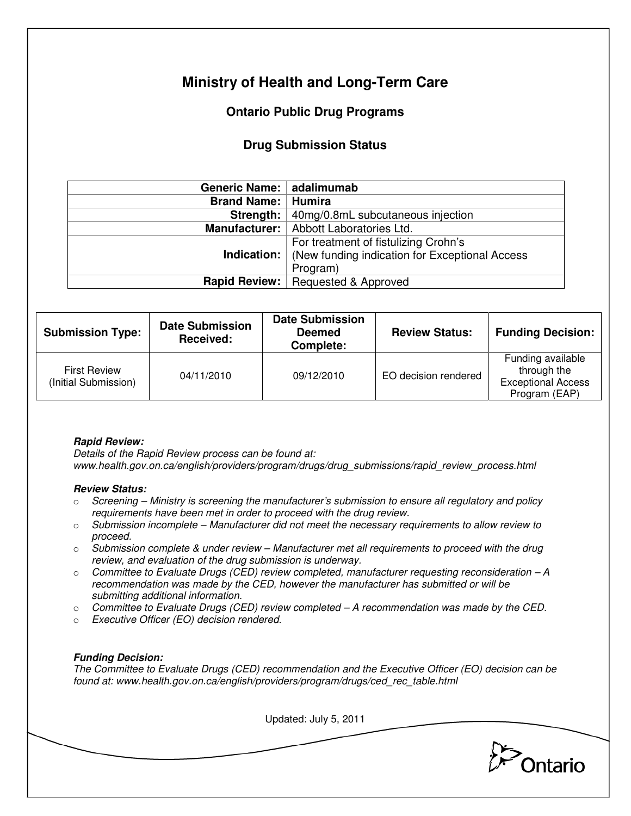# **Ministry of Health and Long-Term Care**

## **Ontario Public Drug Programs**

### **Drug Submission Status**

| Generic Name:   adalimumab  |                                                                   |  |  |
|-----------------------------|-------------------------------------------------------------------|--|--|
| <b>Brand Name:   Humira</b> |                                                                   |  |  |
| Strength:                   | 40mg/0.8mL subcutaneous injection                                 |  |  |
|                             | Manufacturer:   Abbott Laboratories Ltd.                          |  |  |
|                             | For treatment of fistulizing Crohn's                              |  |  |
|                             | <b>Indication:</b> (New funding indication for Exceptional Access |  |  |
|                             | Program)                                                          |  |  |
|                             | <b>Rapid Review:</b> Requested & Approved                         |  |  |

| <b>Submission Type:</b>                     | <b>Date Submission</b><br>Received: | <b>Date Submission</b><br><b>Deemed</b><br>Complete: | <b>Review Status:</b> | <b>Funding Decision:</b>                                                       |
|---------------------------------------------|-------------------------------------|------------------------------------------------------|-----------------------|--------------------------------------------------------------------------------|
| <b>First Review</b><br>(Initial Submission) | 04/11/2010                          | 09/12/2010                                           | EO decision rendered  | Funding available<br>through the<br><b>Exceptional Access</b><br>Program (EAP) |

#### **Rapid Review:**

Details of the Rapid Review process can be found at: www.health.gov.on.ca/english/providers/program/drugs/drug\_submissions/rapid\_review\_process.html

#### **Review Status:**

- $\circ$  Screening Ministry is screening the manufacturer's submission to ensure all regulatory and policy requirements have been met in order to proceed with the drug review.
- $\circ$  Submission incomplete Manufacturer did not meet the necessary requirements to allow review to proceed.
- $\circ$  Submission complete & under review Manufacturer met all requirements to proceed with the drug review, and evaluation of the drug submission is underway.
- $\circ$  Committee to Evaluate Drugs (CED) review completed, manufacturer requesting reconsideration A recommendation was made by the CED, however the manufacturer has submitted or will be submitting additional information.
- $\circ$  Committee to Evaluate Drugs (CED) review completed  $-A$  recommendation was made by the CED.
- o Executive Officer (EO) decision rendered.

#### **Funding Decision:**

The Committee to Evaluate Drugs (CED) recommendation and the Executive Officer (EO) decision can be found at: www.health.gov.on.ca/english/providers/program/drugs/ced\_rec\_table.html

Updated: July 5, 2011